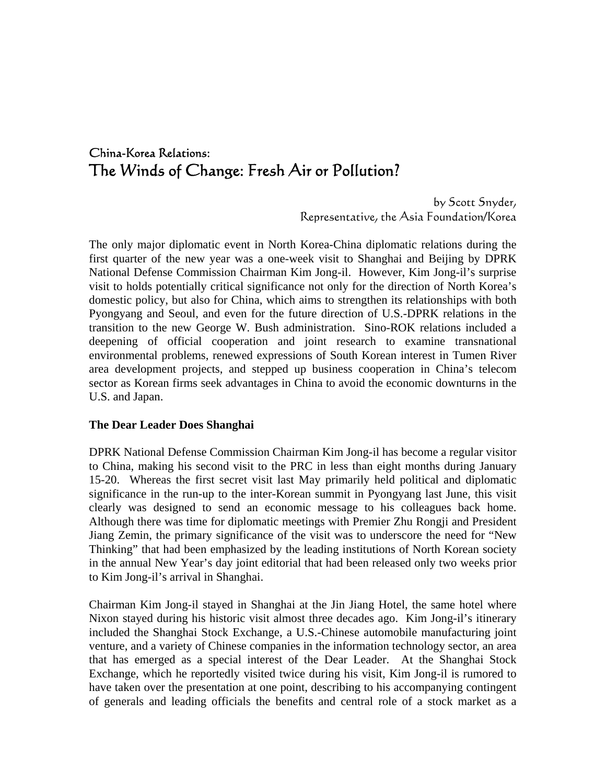# China-Korea Relations: The Winds of Change: Fresh Air or Pollution?

by Scott Snyder, Representative, the Asia Foundation/Korea

The only major diplomatic event in North Korea-China diplomatic relations during the first quarter of the new year was a one-week visit to Shanghai and Beijing by DPRK National Defense Commission Chairman Kim Jong-il. However, Kim Jong-il's surprise visit to holds potentially critical significance not only for the direction of North Korea's domestic policy, but also for China, which aims to strengthen its relationships with both Pyongyang and Seoul, and even for the future direction of U.S.-DPRK relations in the transition to the new George W. Bush administration. Sino-ROK relations included a deepening of official cooperation and joint research to examine transnational environmental problems, renewed expressions of South Korean interest in Tumen River area development projects, and stepped up business cooperation in China's telecom sector as Korean firms seek advantages in China to avoid the economic downturns in the U.S. and Japan.

#### **The Dear Leader Does Shanghai**

DPRK National Defense Commission Chairman Kim Jong-il has become a regular visitor to China, making his second visit to the PRC in less than eight months during January 15-20. Whereas the first secret visit last May primarily held political and diplomatic significance in the run-up to the inter-Korean summit in Pyongyang last June, this visit clearly was designed to send an economic message to his colleagues back home. Although there was time for diplomatic meetings with Premier Zhu Rongji and President Jiang Zemin, the primary significance of the visit was to underscore the need for "New Thinking" that had been emphasized by the leading institutions of North Korean society in the annual New Year's day joint editorial that had been released only two weeks prior to Kim Jong-il's arrival in Shanghai.

Chairman Kim Jong-il stayed in Shanghai at the Jin Jiang Hotel, the same hotel where Nixon stayed during his historic visit almost three decades ago. Kim Jong-il's itinerary included the Shanghai Stock Exchange, a U.S.-Chinese automobile manufacturing joint venture, and a variety of Chinese companies in the information technology sector, an area that has emerged as a special interest of the Dear Leader. At the Shanghai Stock Exchange, which he reportedly visited twice during his visit, Kim Jong-il is rumored to have taken over the presentation at one point, describing to his accompanying contingent of generals and leading officials the benefits and central role of a stock market as a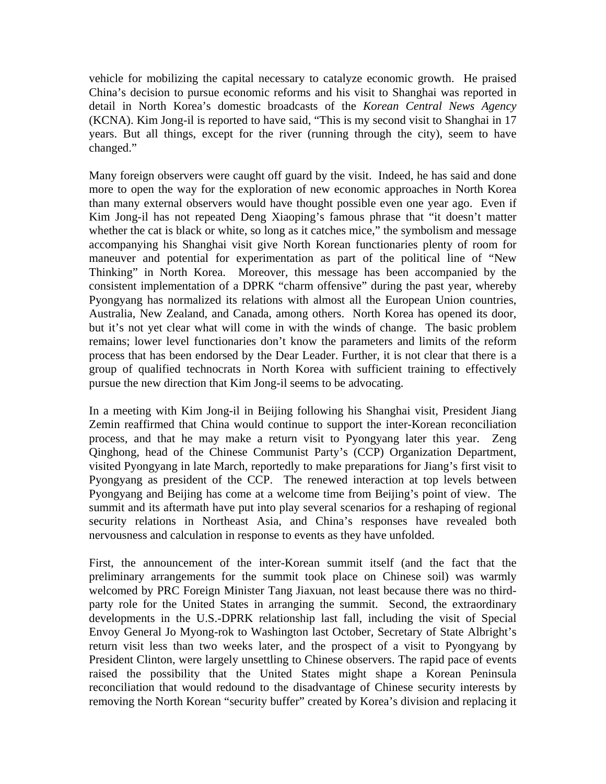vehicle for mobilizing the capital necessary to catalyze economic growth. He praised China's decision to pursue economic reforms and his visit to Shanghai was reported in detail in North Korea's domestic broadcasts of the *Korean Central News Agency* (KCNA). Kim Jong-il is reported to have said, "This is my second visit to Shanghai in 17 years. But all things, except for the river (running through the city), seem to have changed."

Many foreign observers were caught off guard by the visit. Indeed, he has said and done more to open the way for the exploration of new economic approaches in North Korea than many external observers would have thought possible even one year ago. Even if Kim Jong-il has not repeated Deng Xiaoping's famous phrase that "it doesn't matter whether the cat is black or white, so long as it catches mice," the symbolism and message accompanying his Shanghai visit give North Korean functionaries plenty of room for maneuver and potential for experimentation as part of the political line of "New Thinking" in North Korea. Moreover, this message has been accompanied by the consistent implementation of a DPRK "charm offensive" during the past year, whereby Pyongyang has normalized its relations with almost all the European Union countries, Australia, New Zealand, and Canada, among others. North Korea has opened its door, but it's not yet clear what will come in with the winds of change. The basic problem remains; lower level functionaries don't know the parameters and limits of the reform process that has been endorsed by the Dear Leader. Further, it is not clear that there is a group of qualified technocrats in North Korea with sufficient training to effectively pursue the new direction that Kim Jong-il seems to be advocating.

In a meeting with Kim Jong-il in Beijing following his Shanghai visit, President Jiang Zemin reaffirmed that China would continue to support the inter-Korean reconciliation process, and that he may make a return visit to Pyongyang later this year. Zeng Qinghong, head of the Chinese Communist Party's (CCP) Organization Department, visited Pyongyang in late March, reportedly to make preparations for Jiang's first visit to Pyongyang as president of the CCP. The renewed interaction at top levels between Pyongyang and Beijing has come at a welcome time from Beijing's point of view. The summit and its aftermath have put into play several scenarios for a reshaping of regional security relations in Northeast Asia, and China's responses have revealed both nervousness and calculation in response to events as they have unfolded.

First, the announcement of the inter-Korean summit itself (and the fact that the preliminary arrangements for the summit took place on Chinese soil) was warmly welcomed by PRC Foreign Minister Tang Jiaxuan, not least because there was no thirdparty role for the United States in arranging the summit. Second, the extraordinary developments in the U.S.-DPRK relationship last fall, including the visit of Special Envoy General Jo Myong-rok to Washington last October, Secretary of State Albright's return visit less than two weeks later, and the prospect of a visit to Pyongyang by President Clinton, were largely unsettling to Chinese observers. The rapid pace of events raised the possibility that the United States might shape a Korean Peninsula reconciliation that would redound to the disadvantage of Chinese security interests by removing the North Korean "security buffer" created by Korea's division and replacing it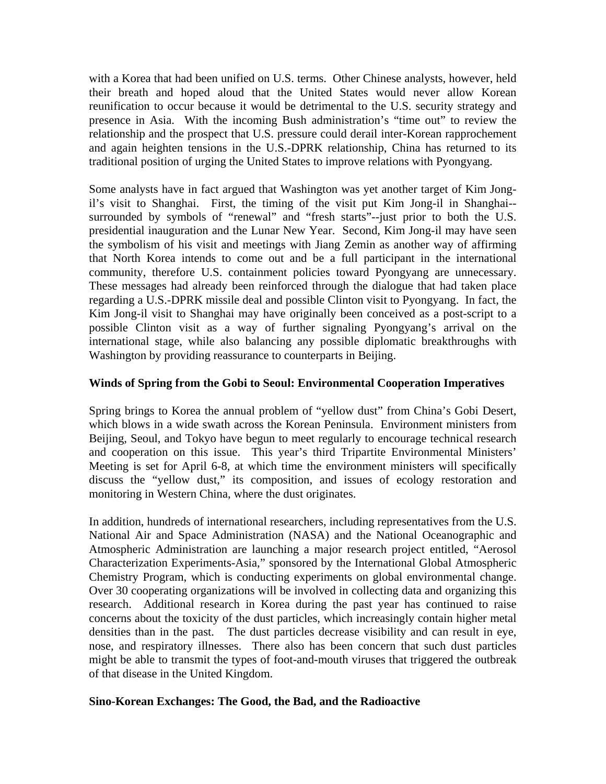with a Korea that had been unified on U.S. terms. Other Chinese analysts, however, held their breath and hoped aloud that the United States would never allow Korean reunification to occur because it would be detrimental to the U.S. security strategy and presence in Asia. With the incoming Bush administration's "time out" to review the relationship and the prospect that U.S. pressure could derail inter-Korean rapprochement and again heighten tensions in the U.S.-DPRK relationship, China has returned to its traditional position of urging the United States to improve relations with Pyongyang.

Some analysts have in fact argued that Washington was yet another target of Kim Jongil's visit to Shanghai. First, the timing of the visit put Kim Jong-il in Shanghai- surrounded by symbols of "renewal" and "fresh starts"--just prior to both the U.S. presidential inauguration and the Lunar New Year. Second, Kim Jong-il may have seen the symbolism of his visit and meetings with Jiang Zemin as another way of affirming that North Korea intends to come out and be a full participant in the international community, therefore U.S. containment policies toward Pyongyang are unnecessary. These messages had already been reinforced through the dialogue that had taken place regarding a U.S.-DPRK missile deal and possible Clinton visit to Pyongyang. In fact, the Kim Jong-il visit to Shanghai may have originally been conceived as a post-script to a possible Clinton visit as a way of further signaling Pyongyang's arrival on the international stage, while also balancing any possible diplomatic breakthroughs with Washington by providing reassurance to counterparts in Beijing.

### **Winds of Spring from the Gobi to Seoul: Environmental Cooperation Imperatives**

Spring brings to Korea the annual problem of "yellow dust" from China's Gobi Desert, which blows in a wide swath across the Korean Peninsula. Environment ministers from Beijing, Seoul, and Tokyo have begun to meet regularly to encourage technical research and cooperation on this issue. This year's third Tripartite Environmental Ministers' Meeting is set for April 6-8, at which time the environment ministers will specifically discuss the "yellow dust," its composition, and issues of ecology restoration and monitoring in Western China, where the dust originates.

In addition, hundreds of international researchers, including representatives from the U.S. National Air and Space Administration (NASA) and the National Oceanographic and Atmospheric Administration are launching a major research project entitled, "Aerosol Characterization Experiments-Asia," sponsored by the International Global Atmospheric Chemistry Program, which is conducting experiments on global environmental change. Over 30 cooperating organizations will be involved in collecting data and organizing this research. Additional research in Korea during the past year has continued to raise concerns about the toxicity of the dust particles, which increasingly contain higher metal densities than in the past. The dust particles decrease visibility and can result in eye, nose, and respiratory illnesses. There also has been concern that such dust particles might be able to transmit the types of foot-and-mouth viruses that triggered the outbreak of that disease in the United Kingdom.

### **Sino-Korean Exchanges: The Good, the Bad, and the Radioactive**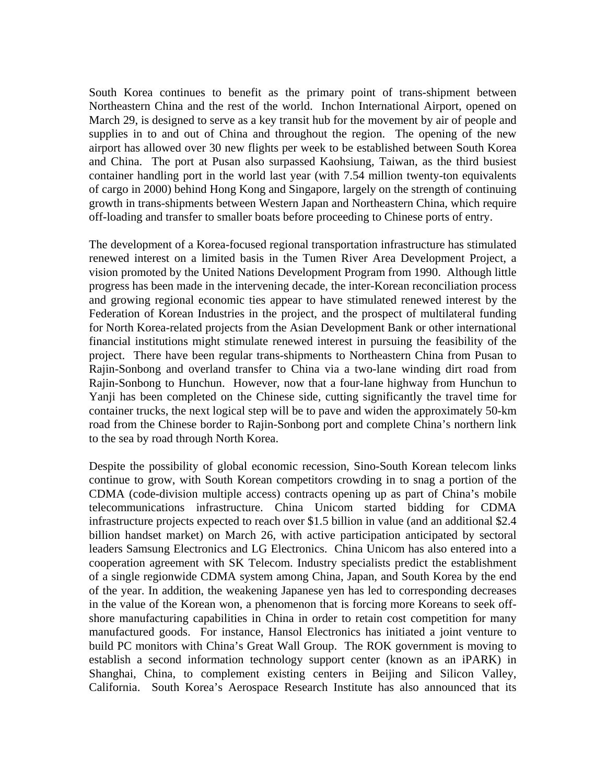South Korea continues to benefit as the primary point of trans-shipment between Northeastern China and the rest of the world. Inchon International Airport, opened on March 29, is designed to serve as a key transit hub for the movement by air of people and supplies in to and out of China and throughout the region. The opening of the new airport has allowed over 30 new flights per week to be established between South Korea and China. The port at Pusan also surpassed Kaohsiung, Taiwan, as the third busiest container handling port in the world last year (with 7.54 million twenty-ton equivalents of cargo in 2000) behind Hong Kong and Singapore, largely on the strength of continuing growth in trans-shipments between Western Japan and Northeastern China, which require off-loading and transfer to smaller boats before proceeding to Chinese ports of entry.

The development of a Korea-focused regional transportation infrastructure has stimulated renewed interest on a limited basis in the Tumen River Area Development Project, a vision promoted by the United Nations Development Program from 1990. Although little progress has been made in the intervening decade, the inter-Korean reconciliation process and growing regional economic ties appear to have stimulated renewed interest by the Federation of Korean Industries in the project, and the prospect of multilateral funding for North Korea-related projects from the Asian Development Bank or other international financial institutions might stimulate renewed interest in pursuing the feasibility of the project. There have been regular trans-shipments to Northeastern China from Pusan to Rajin-Sonbong and overland transfer to China via a two-lane winding dirt road from Rajin-Sonbong to Hunchun. However, now that a four-lane highway from Hunchun to Yanji has been completed on the Chinese side, cutting significantly the travel time for container trucks, the next logical step will be to pave and widen the approximately 50-km road from the Chinese border to Rajin-Sonbong port and complete China's northern link to the sea by road through North Korea.

Despite the possibility of global economic recession, Sino-South Korean telecom links continue to grow, with South Korean competitors crowding in to snag a portion of the CDMA (code-division multiple access) contracts opening up as part of China's mobile telecommunications infrastructure. China Unicom started bidding for CDMA infrastructure projects expected to reach over \$1.5 billion in value (and an additional \$2.4 billion handset market) on March 26, with active participation anticipated by sectoral leaders Samsung Electronics and LG Electronics. China Unicom has also entered into a cooperation agreement with SK Telecom. Industry specialists predict the establishment of a single regionwide CDMA system among China, Japan, and South Korea by the end of the year. In addition, the weakening Japanese yen has led to corresponding decreases in the value of the Korean won, a phenomenon that is forcing more Koreans to seek offshore manufacturing capabilities in China in order to retain cost competition for many manufactured goods. For instance, Hansol Electronics has initiated a joint venture to build PC monitors with China's Great Wall Group. The ROK government is moving to establish a second information technology support center (known as an iPARK) in Shanghai, China, to complement existing centers in Beijing and Silicon Valley, California. South Korea's Aerospace Research Institute has also announced that its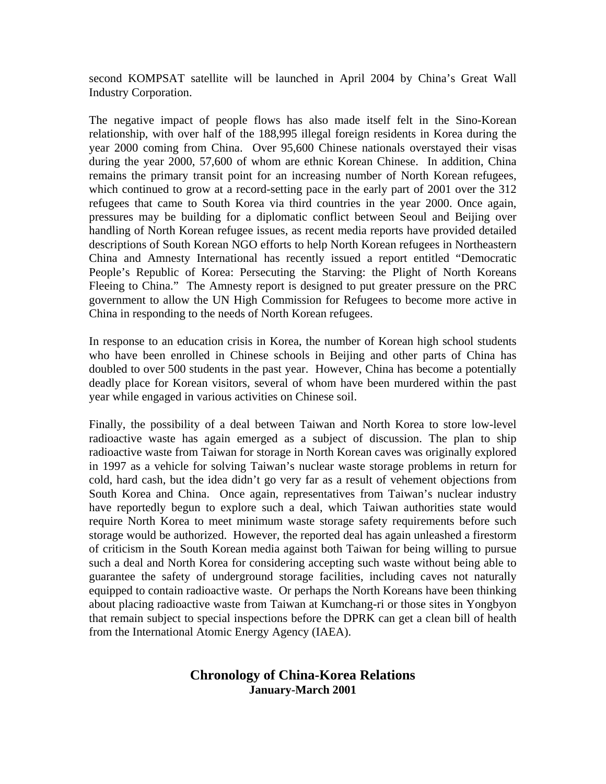second KOMPSAT satellite will be launched in April 2004 by China's Great Wall Industry Corporation.

The negative impact of people flows has also made itself felt in the Sino-Korean relationship, with over half of the 188,995 illegal foreign residents in Korea during the year 2000 coming from China. Over 95,600 Chinese nationals overstayed their visas during the year 2000, 57,600 of whom are ethnic Korean Chinese. In addition, China remains the primary transit point for an increasing number of North Korean refugees, which continued to grow at a record-setting pace in the early part of 2001 over the 312 refugees that came to South Korea via third countries in the year 2000. Once again, pressures may be building for a diplomatic conflict between Seoul and Beijing over handling of North Korean refugee issues, as recent media reports have provided detailed descriptions of South Korean NGO efforts to help North Korean refugees in Northeastern China and Amnesty International has recently issued a report entitled "Democratic People's Republic of Korea: Persecuting the Starving: the Plight of North Koreans Fleeing to China." The Amnesty report is designed to put greater pressure on the PRC government to allow the UN High Commission for Refugees to become more active in China in responding to the needs of North Korean refugees.

In response to an education crisis in Korea, the number of Korean high school students who have been enrolled in Chinese schools in Beijing and other parts of China has doubled to over 500 students in the past year. However, China has become a potentially deadly place for Korean visitors, several of whom have been murdered within the past year while engaged in various activities on Chinese soil.

Finally, the possibility of a deal between Taiwan and North Korea to store low-level radioactive waste has again emerged as a subject of discussion. The plan to ship radioactive waste from Taiwan for storage in North Korean caves was originally explored in 1997 as a vehicle for solving Taiwan's nuclear waste storage problems in return for cold, hard cash, but the idea didn't go very far as a result of vehement objections from South Korea and China. Once again, representatives from Taiwan's nuclear industry have reportedly begun to explore such a deal, which Taiwan authorities state would require North Korea to meet minimum waste storage safety requirements before such storage would be authorized. However, the reported deal has again unleashed a firestorm of criticism in the South Korean media against both Taiwan for being willing to pursue such a deal and North Korea for considering accepting such waste without being able to guarantee the safety of underground storage facilities, including caves not naturally equipped to contain radioactive waste. Or perhaps the North Koreans have been thinking about placing radioactive waste from Taiwan at Kumchang-ri or those sites in Yongbyon that remain subject to special inspections before the DPRK can get a clean bill of health from the International Atomic Energy Agency (IAEA).

## **Chronology of China-Korea Relations January-March 2001**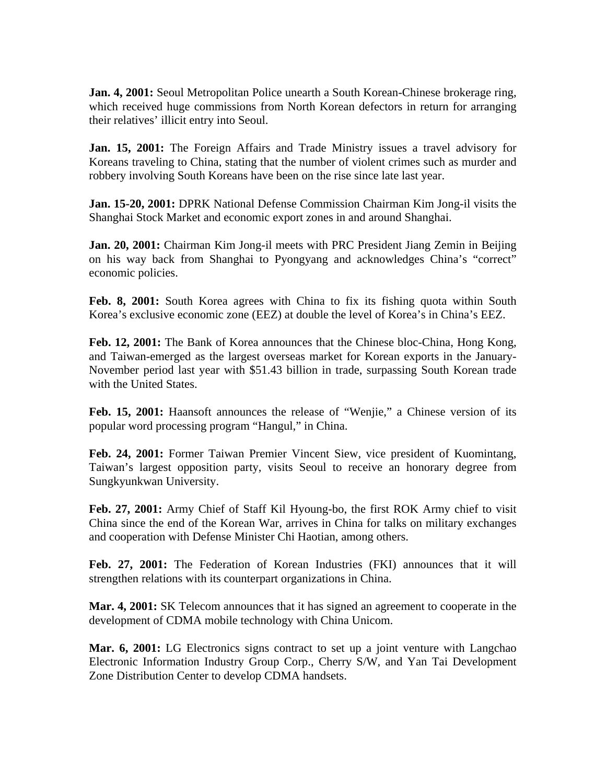Jan. 4, 2001: Seoul Metropolitan Police unearth a South Korean-Chinese brokerage ring, which received huge commissions from North Korean defectors in return for arranging their relatives' illicit entry into Seoul.

**Jan. 15, 2001:** The Foreign Affairs and Trade Ministry issues a travel advisory for Koreans traveling to China, stating that the number of violent crimes such as murder and robbery involving South Koreans have been on the rise since late last year.

**Jan. 15-20, 2001:** DPRK National Defense Commission Chairman Kim Jong-il visits the Shanghai Stock Market and economic export zones in and around Shanghai.

**Jan. 20, 2001:** Chairman Kim Jong-il meets with PRC President Jiang Zemin in Beijing on his way back from Shanghai to Pyongyang and acknowledges China's "correct" economic policies.

**Feb. 8, 2001:** South Korea agrees with China to fix its fishing quota within South Korea's exclusive economic zone (EEZ) at double the level of Korea's in China's EEZ.

Feb. 12, 2001: The Bank of Korea announces that the Chinese bloc-China, Hong Kong, and Taiwan-emerged as the largest overseas market for Korean exports in the January-November period last year with \$51.43 billion in trade, surpassing South Korean trade with the United States.

**Feb. 15, 2001:** Haansoft announces the release of "Wenjie," a Chinese version of its popular word processing program "Hangul," in China.

**Feb. 24, 2001:** Former Taiwan Premier Vincent Siew, vice president of Kuomintang, Taiwan's largest opposition party, visits Seoul to receive an honorary degree from Sungkyunkwan University.

**Feb. 27, 2001:** Army Chief of Staff Kil Hyoung-bo, the first ROK Army chief to visit China since the end of the Korean War, arrives in China for talks on military exchanges and cooperation with Defense Minister Chi Haotian, among others.

**Feb. 27, 2001:** The Federation of Korean Industries (FKI) announces that it will strengthen relations with its counterpart organizations in China.

**Mar. 4, 2001:** SK Telecom announces that it has signed an agreement to cooperate in the development of CDMA mobile technology with China Unicom.

**Mar. 6, 2001:** LG Electronics signs contract to set up a joint venture with Langchao Electronic Information Industry Group Corp., Cherry S/W, and Yan Tai Development Zone Distribution Center to develop CDMA handsets.